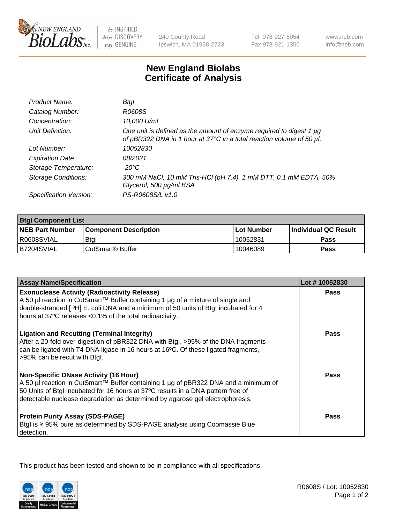

be INSPIRED drive DISCOVERY stay GENUINE

240 County Road Ipswich, MA 01938-2723 Tel 978-927-5054 Fax 978-921-1350

www.neb.com info@neb.com

## **New England Biolabs Certificate of Analysis**

| Product Name:              | Btal                                                                                                                                             |
|----------------------------|--------------------------------------------------------------------------------------------------------------------------------------------------|
| Catalog Number:            | R0608S                                                                                                                                           |
| Concentration:             | 10,000 U/ml                                                                                                                                      |
| Unit Definition:           | One unit is defined as the amount of enzyme required to digest 1 $\mu$ g<br>of pBR322 DNA in 1 hour at 37°C in a total reaction volume of 50 µl. |
| Lot Number:                | 10052830                                                                                                                                         |
| <b>Expiration Date:</b>    | 08/2021                                                                                                                                          |
| Storage Temperature:       | -20°C                                                                                                                                            |
| <b>Storage Conditions:</b> | 300 mM NaCl, 10 mM Tris-HCl (pH 7.4), 1 mM DTT, 0.1 mM EDTA, 50%<br>Glycerol, 500 µg/ml BSA                                                      |
| Specification Version:     | PS-R0608S/L v1.0                                                                                                                                 |

| <b>Btgl Component List</b> |                              |                   |                      |  |
|----------------------------|------------------------------|-------------------|----------------------|--|
| <b>NEB Part Number</b>     | <b>Component Description</b> | <b>Lot Number</b> | Individual QC Result |  |
| R0608SVIAL                 | Btgl                         | 10052831          | Pass                 |  |
| B7204SVIAL                 | CutSmart <sup>®</sup> Buffer | 10046089          | Pass                 |  |

| <b>Assay Name/Specification</b>                                                                                                                                                                                                                                                                          | Lot #10052830 |
|----------------------------------------------------------------------------------------------------------------------------------------------------------------------------------------------------------------------------------------------------------------------------------------------------------|---------------|
| <b>Exonuclease Activity (Radioactivity Release)</b><br>A 50 µl reaction in CutSmart™ Buffer containing 1 µg of a mixture of single and                                                                                                                                                                   | Pass          |
| double-stranded [3H] E. coli DNA and a minimum of 50 units of Btgl incubated for 4<br>hours at 37°C releases <0.1% of the total radioactivity.                                                                                                                                                           |               |
| <b>Ligation and Recutting (Terminal Integrity)</b><br>After a 20-fold over-digestion of pBR322 DNA with Btgl, >95% of the DNA fragments<br>can be ligated with T4 DNA ligase in 16 hours at 16°C. Of these ligated fragments,<br>>95% can be recut with Btgl.                                            | <b>Pass</b>   |
| <b>Non-Specific DNase Activity (16 Hour)</b><br>A 50 µl reaction in CutSmart™ Buffer containing 1 µg of pBR322 DNA and a minimum of<br>50 Units of Btgl incubated for 16 hours at 37°C results in a DNA pattern free of<br>detectable nuclease degradation as determined by agarose gel electrophoresis. | Pass          |
| <b>Protein Purity Assay (SDS-PAGE)</b><br>Btgl is ≥ 95% pure as determined by SDS-PAGE analysis using Coomassie Blue<br>detection.                                                                                                                                                                       | Pass          |

This product has been tested and shown to be in compliance with all specifications.